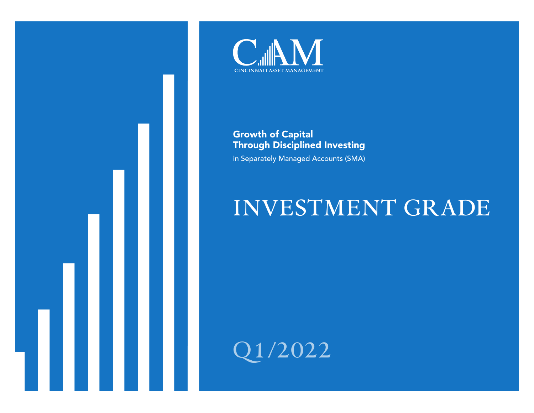



Growth of Capital Through Disciplined Investing in Separately Managed Accounts (SMA)

# **INVESTMENT GRADE**

**Q1/2022**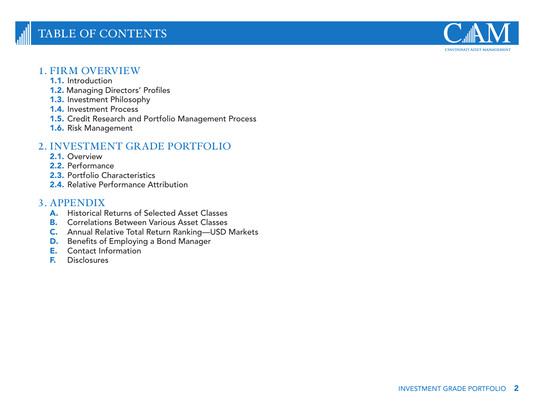## **TABLE OF CONTENTS**



## **1. FIRM OVERVIEW**

- 1.1. Introduction
- 1.2. Managing Directors' Profiles
- 1.3. Investment Philosophy
- 1.4. Investment Process
- 1.5. Credit Research and Portfolio Management Process
- 1.6. Risk Management

## **2. INVESTMENT GRADE PORTFOLIO**

- 2.1. Overview
- 2.2. Performance
- 2.3. Portfolio Characteristics
- 2.4. Relative Performance Attribution

## **3. APPENDIX**

- A. Historical Returns of Selected Asset Classes
- B. Correlations Between Various Asset Classes
- C. Annual Relative Total Return Ranking—USD Markets
- D. Benefits of Employing a Bond Manager
- E. Contact Information
- F. Disclosures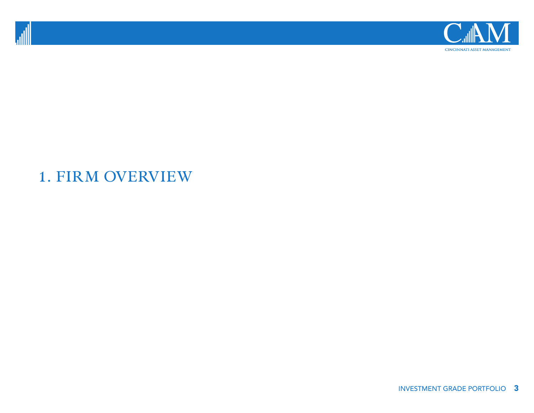



## **1. FIRM OVERVIEW**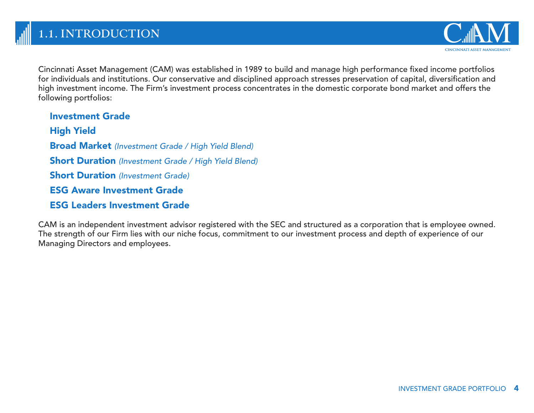

Cincinnati Asset Management (CAM) was established in 1989 to build and manage high performance fixed income portfolios for individuals and institutions. Our conservative and disciplined approach stresses preservation of capital, diversification and high investment income. The Firm's investment process concentrates in the domestic corporate bond market and offers the following portfolios:

Investment Grade High Yield Broad Market *(Investment Grade / High Yield Blend)* Short Duration *(Investment Grade / High Yield Blend)* Short Duration *(Investment Grade)* ESG Aware Investment Grade ESG Leaders Investment Grade

CAM is an independent investment advisor registered with the SEC and structured as a corporation that is employee owned. The strength of our Firm lies with our niche focus, commitment to our investment process and depth of experience of our Managing Directors and employees.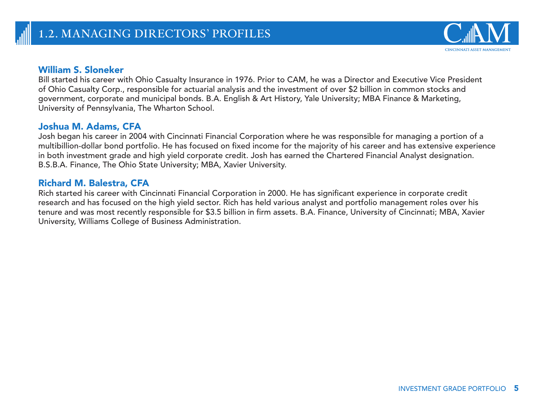### William S. Sloneker

Bill started his career with Ohio Casualty Insurance in 1976. Prior to CAM, he was a Director and Executive Vice President of Ohio Casualty Corp., responsible for actuarial analysis and the investment of over \$2 billion in common stocks and government, corporate and municipal bonds. B.A. English & Art History, Yale University; MBA Finance & Marketing, University of Pennsylvania, The Wharton School.

### Joshua M. Adams, CFA

Josh began his career in 2004 with Cincinnati Financial Corporation where he was responsible for managing a portion of a multibillion-dollar bond portfolio. He has focused on fixed income for the majority of his career and has extensive experience in both investment grade and high yield corporate credit. Josh has earned the Chartered Financial Analyst designation. B.S.B.A. Finance, The Ohio State University; MBA, Xavier University.

## Richard M. Balestra, CFA

Rich started his career with Cincinnati Financial Corporation in 2000. He has significant experience in corporate credit research and has focused on the high yield sector. Rich has held various analyst and portfolio management roles over his tenure and was most recently responsible for \$3.5 billion in firm assets. B.A. Finance, University of Cincinnati; MBA, Xavier University, Williams College of Business Administration.

CINCINNATI ASSET MANAGEMENT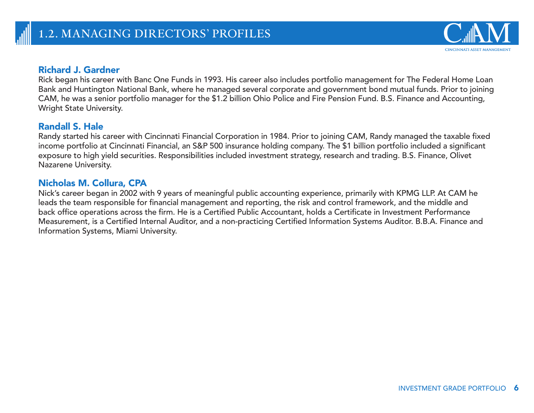## Richard J. Gardner

Rick began his career with Banc One Funds in 1993. His career also includes portfolio management for The Federal Home Loan Bank and Huntington National Bank, where he managed several corporate and government bond mutual funds. Prior to joining CAM, he was a senior portfolio manager for the \$1.2 billion Ohio Police and Fire Pension Fund. B.S. Finance and Accounting, Wright State University.

## Randall S. Hale

Randy started his career with Cincinnati Financial Corporation in 1984. Prior to joining CAM, Randy managed the taxable fixed income portfolio at Cincinnati Financial, an S&P 500 insurance holding company. The \$1 billion portfolio included a significant exposure to high yield securities. Responsibilities included investment strategy, research and trading. B.S. Finance, Olivet Nazarene University.

## Nicholas M. Collura, CPA

Nick's career began in 2002 with 9 years of meaningful public accounting experience, primarily with KPMG LLP. At CAM he leads the team responsible for financial management and reporting, the risk and control framework, and the middle and back office operations across the firm. He is a Certified Public Accountant, holds a Certificate in Investment Performance Measurement, is a Certified Internal Auditor, and a non-practicing Certified Information Systems Auditor. B.B.A. Finance and Information Systems, Miami University.

CINCINNATI ASSET MANAGEMENT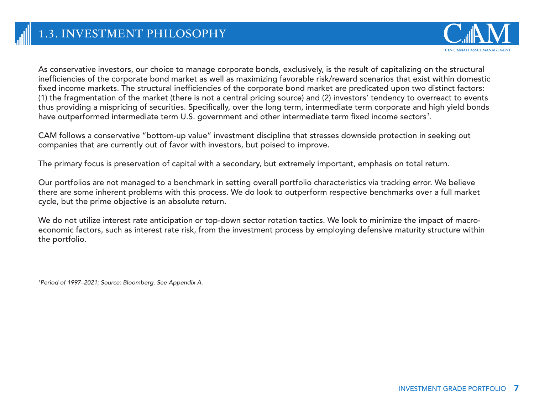

As conservative investors, our choice to manage corporate bonds, exclusively, is the result of capitalizing on the structural inefficiencies of the corporate bond market as well as maximizing favorable risk/reward scenarios that exist within domestic fixed income markets. The structural inefficiencies of the corporate bond market are predicated upon two distinct factors: (1) the fragmentation of the market (there is not a central pricing source) and (2) investors' tendency to overreact to events thus providing a mispricing of securities. Specifically, over the long term, intermediate term corporate and high yield bonds have outperformed intermediate term U.S. government and other intermediate term fixed income sectors*<sup>1</sup>* .

CAM follows a conservative "bottom-up value" investment discipline that stresses downside protection in seeking out companies that are currently out of favor with investors, but poised to improve.

The primary focus is preservation of capital with a secondary, but extremely important, emphasis on total return.

Our portfolios are not managed to a benchmark in setting overall portfolio characteristics via tracking error. We believe there are some inherent problems with this process. We do look to outperform respective benchmarks over a full market cycle, but the prime objective is an absolute return.

We do not utilize interest rate anticipation or top-down sector rotation tactics. We look to minimize the impact of macroeconomic factors, such as interest rate risk, from the investment process by employing defensive maturity structure within the portfolio.

*1 Period of 1997–2021; Source: Bloomberg. See Appendix A.*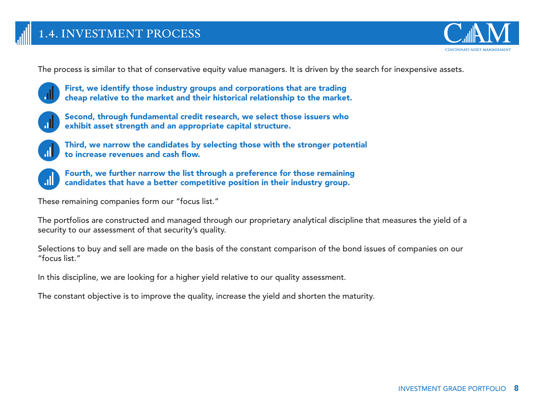

The process is similar to that of conservative equity value managers. It is driven by the search for inexpensive assets.

 First, we identify those industry groups and corporations that are trading cheap relative to the market and their historical relationship to the market.



 Second, through fundamental credit research, we select those issuers who exhibit asset strength and an appropriate capital structure.

 Third, we narrow the candidates by selecting those with the stronger potential to increase revenues and cash flow.

 Fourth, we further narrow the list through a preference for those remaining candidates that have a better competitive position in their industry group.

These remaining companies form our "focus list."

The portfolios are constructed and managed through our proprietary analytical discipline that measures the yield of a security to our assessment of that security's quality.

Selections to buy and sell are made on the basis of the constant comparison of the bond issues of companies on our "focus list."

In this discipline, we are looking for a higher yield relative to our quality assessment.

The constant objective is to improve the quality, increase the yield and shorten the maturity.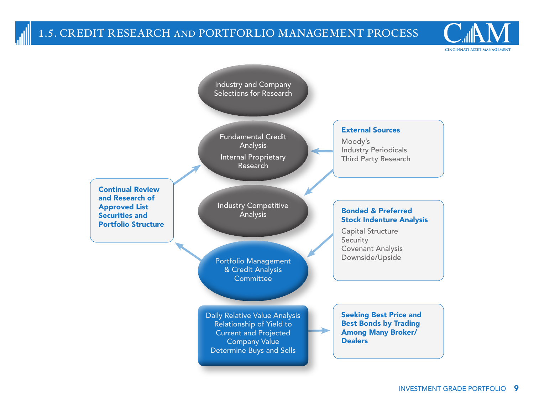## **1.5. CREDIT RESEARCH AND PORTFORLIO MANAGEMENT PROCESS**

CINCINNATI ASSET MANAGEMENT

Industry and Company Selections for Research

Fundamental Credit Analysis Internal Proprietary Research

Continual Review and Research of Approved List Securities and Portfolio Structure

Industry Competitive Analysis

Portfolio Management & Credit Analysis **Committee** 

Daily Relative Value Analysis Relationship of Yield to Current and Projected Company Value Determine Buys and Sells

### External Sources

Moody's Industry Periodicals Third Party Research

### Bonded & Preferred Stock Indenture Analysis

Capital Structure **Security** Covenant Analysis Downside/Upside

Seeking Best Price and Best Bonds by Trading Among Many Broker/ **Dealers**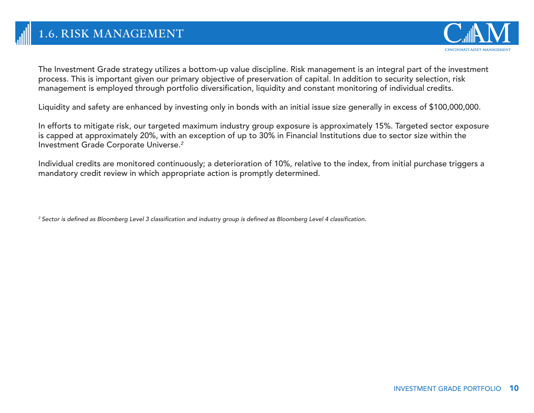

The Investment Grade strategy utilizes a bottom-up value discipline. Risk management is an integral part of the investment process. This is important given our primary objective of preservation of capital. In addition to security selection, risk management is employed through portfolio diversification, liquidity and constant monitoring of individual credits.

Liquidity and safety are enhanced by investing only in bonds with an initial issue size generally in excess of \$100,000,000.

In efforts to mitigate risk, our targeted maximum industry group exposure is approximately 15%. Targeted sector exposure is capped at approximately 20%, with an exception of up to 30% in Financial Institutions due to sector size within the Investment Grade Corporate Universe.*<sup>2</sup>*

Individual credits are monitored continuously; a deterioration of 10%, relative to the index, from initial purchase triggers a mandatory credit review in which appropriate action is promptly determined.

*<sup>2</sup> Sector is defined as Bloomberg Level 3 classification and industry group is defined as Bloomberg Level 4 classification.*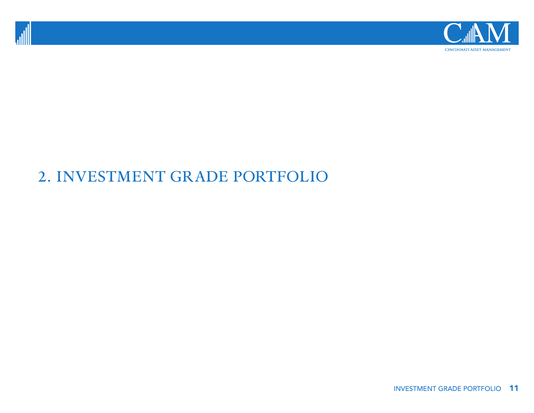



## **2. INVESTMENT GRADE PORTFOLIO**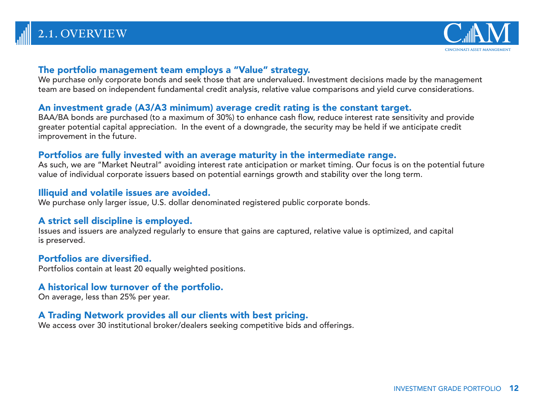## **2.1. OVERVIEW**



## The portfolio management team employs a "Value" strategy.

We purchase only corporate bonds and seek those that are undervalued. Investment decisions made by the management team are based on independent fundamental credit analysis, relative value comparisons and yield curve considerations.

## An investment grade (A3/A3 minimum) average credit rating is the constant target.

BAA/BA bonds are purchased (to a maximum of 30%) to enhance cash flow, reduce interest rate sensitivity and provide greater potential capital appreciation. In the event of a downgrade, the security may be held if we anticipate credit improvement in the future.

## Portfolios are fully invested with an average maturity in the intermediate range.

As such, we are "Market Neutral" avoiding interest rate anticipation or market timing. Our focus is on the potential future value of individual corporate issuers based on potential earnings growth and stability over the long term.

## Illiquid and volatile issues are avoided.

We purchase only larger issue, U.S. dollar denominated registered public corporate bonds.

## A strict sell discipline is employed.

Issues and issuers are analyzed regularly to ensure that gains are captured, relative value is optimized, and capital is preserved.

## Portfolios are diversified.

Portfolios contain at least 20 equally weighted positions.

## A historical low turnover of the portfolio.

On average, less than 25% per year.

## A Trading Network provides all our clients with best pricing.

We access over 30 institutional broker/dealers seeking competitive bids and offerings.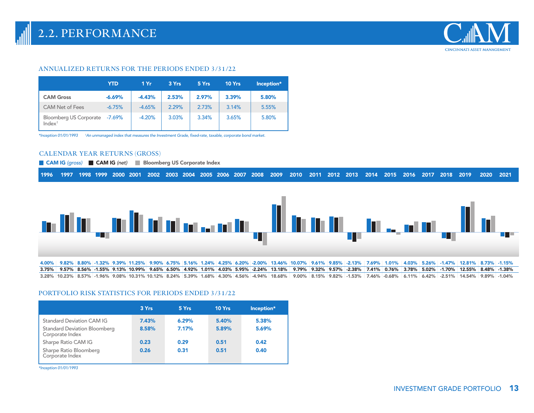

#### **ANNUALIZED RETURNS FOR THE PERIODS ENDED 3/31/22**

|                                                     | <b>YTD</b> | 1 Yr     | 3 Yrs | 5 Yrs | 10 Yrs | Inception* |
|-----------------------------------------------------|------------|----------|-------|-------|--------|------------|
| <b>CAM Gross</b>                                    | $-6.69%$   | $-4.43%$ | 2.53% | 2.97% | 3.39%  | 5.80%      |
| <b>CAM Net of Fees</b>                              | $-6.75%$   | $-4.65%$ | 2.29% | 2.73% | 3.14%  | 5.55%      |
| Bloomberg US Corporate -7.69%<br>Index <sup>1</sup> |            | $-4.20%$ | 3.03% | 3.34% | 3.65%  | 5.80%      |

*\*Inception 01/01/1993 1 An unmanaged index that measures the Investment Grade, fixed-rate, taxable, corporate bond market.*

#### **CALENDAR YEAR RETURNS (GROSS)**

**CAM IG** (gross) CAM IG (net) Bloomberg US Corporate Index

|  |  |  |  |  |  |  |  |  |  |  |  |  |  |  |  |  |  |  |  |  |  |  | 1996 1997 1998 1999 2000 2001 2002 2003 2004 2005 2006 2007 2008 2009 2010 2011 2012 2013 2014 2015 2016 2017 2018 2019 2020 2021 |  |  |
|--|--|--|--|--|--|--|--|--|--|--|--|--|--|--|--|--|--|--|--|--|--|--|-----------------------------------------------------------------------------------------------------------------------------------|--|--|
|--|--|--|--|--|--|--|--|--|--|--|--|--|--|--|--|--|--|--|--|--|--|--|-----------------------------------------------------------------------------------------------------------------------------------|--|--|



#### **PORTFOLIO RISK STATISTICS FOR PERIODS ENDED 3/31/22**

|                                                        | 3 Yrs | 5 Yrs | 10 Yrs | Inception* |
|--------------------------------------------------------|-------|-------|--------|------------|
| Standard Deviation CAM IG                              | 7.43% | 6.29% | 5.40%  | 5.38%      |
| <b>Standard Deviation Bloomberg</b><br>Corporate Index | 8.58% | 7.17% | 5.89%  | 5.69%      |
| Sharpe Ratio CAM IG                                    | 0.23  | 0.29  | 0.51   | 0.42       |
| Sharpe Ratio Bloomberg<br>Corporate Index              | 0.26  | 0.31  | 0.51   | 0.40       |

*\*Inception 01/01/1993*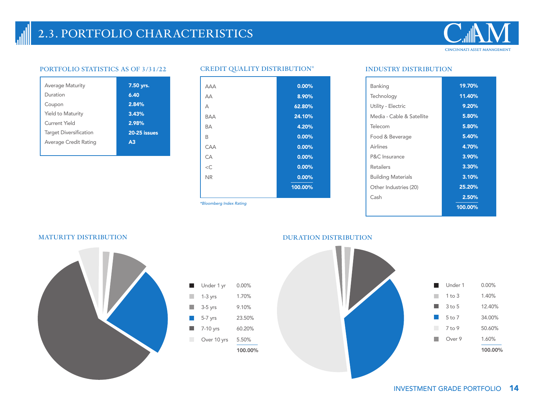## **2.3. PORTFOLIO CHARACTERISTICS**



### **PORTFOLIO STATISTICS AS OF 3/31/22 CREDIT QUALITY DISTRIBUTION\* INDUSTRY DISTRIBUTION**

| <b>Average Maturity</b>       | 7.50 yrs.      |
|-------------------------------|----------------|
| Duration                      | 6.40           |
| Coupon                        | 2.84%          |
| <b>Yield to Maturity</b>      | 3.43%          |
| Current Yield                 | 2.98%          |
| <b>Target Diversification</b> | 20-25 issues   |
| Average Credit Rating         | A <sub>3</sub> |
|                               |                |



*\*Bloomberg Index Rating*

| Banking                   | 19.70%  |
|---------------------------|---------|
| Technology                | 11.40%  |
|                           |         |
| Utility - Electric        | 9.20%   |
| Media - Cable & Satellite | 5.80%   |
| Telecom                   | 5.80%   |
| Food & Beverage           | 5.40%   |
| Airlines                  | 4.70%   |
| P&C Insurance             | 3.90%   |
| Retailers                 | 3.30%   |
| <b>Building Materials</b> | 3.10%   |
| Other Industries (20)     | 25.20%  |
| Cash                      | 2.50%   |
|                           | 100.00% |





#### **MATURITY DISTRIBUTION DURATION DISTRIBUTION**



0.00% Under 1 yr l. 1.70% 1-3 yrs 9.10% 3-5 yrs  $\mathbb{R}^n$ 23.50% 5-7 yrs 7-10 yrs 60.20%  $\mathcal{L}_{\mathcal{A}}$ Over 10 yrs 5.50% 100.00%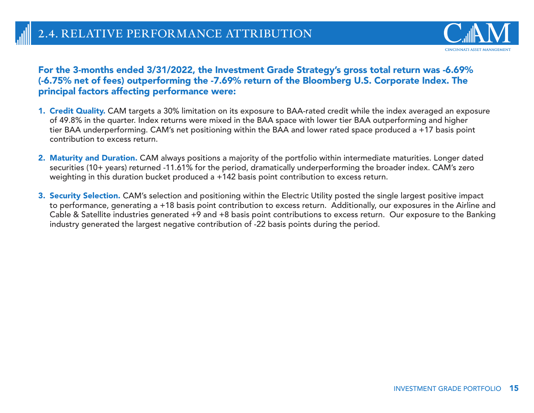

## For the 3-months ended 3/31/2022, the Investment Grade Strategy's gross total return was -6.69% (-6.75% net of fees) outperforming the -7.69% return of the Bloomberg U.S. Corporate Index. The principal factors affecting performance were:

- 1. Credit Quality. CAM targets a 30% limitation on its exposure to BAA-rated credit while the index averaged an exposure of 49.8% in the quarter. Index returns were mixed in the BAA space with lower tier BAA outperforming and higher tier BAA underperforming. CAM's net positioning within the BAA and lower rated space produced a +17 basis point contribution to excess return.
- 2. Maturity and Duration. CAM always positions a majority of the portfolio within intermediate maturities. Longer dated securities (10+ years) returned -11.61% for the period, dramatically underperforming the broader index. CAM's zero weighting in this duration bucket produced a +142 basis point contribution to excess return.
- 3. Security Selection. CAM's selection and positioning within the Electric Utility posted the single largest positive impact to performance, generating a +18 basis point contribution to excess return. Additionally, our exposures in the Airline and Cable & Satellite industries generated +9 and +8 basis point contributions to excess return. Our exposure to the Banking industry generated the largest negative contribution of -22 basis points during the period.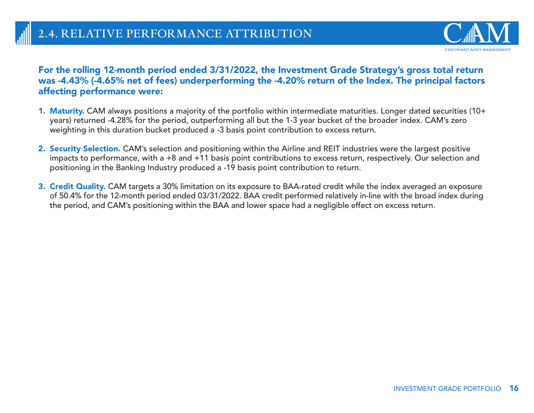

## For the rolling 12-month period ended 3/31/2022, the Investment Grade Strategy's gross total return was -4.43% (-4.65% net of fees) underperforming the -4.20% return of the Index. The principal factors affecting performance were:

- 1. Maturity. CAM always positions a majority of the portfolio within intermediate maturities. Longer dated securities (10+ years) returned -4.28% for the period, outperforming all but the 1-3 year bucket of the broader index. CAM's zero weighting in this duration bucket produced a -3 basis point contribution to excess return.
- 2. Security Selection. CAM's selection and positioning within the Airline and REIT industries were the largest positive impacts to performance, with a +8 and +11 basis point contributions to excess return, respectively. Our selection and positioning in the Banking Industry produced a -19 basis point contribution to return.
- 3. Credit Quality. CAM targets a 30% limitation on its exposure to BAA-rated credit while the index averaged an exposure of 50.4% for the 12-month period ended 03/31/2022. BAA credit performed relatively in-line with the broad index during the period, and CAM's positioning within the BAA and lower space had a negligible effect on excess return.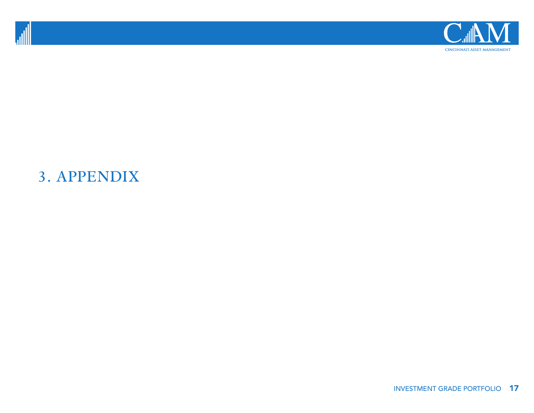



## **3. APPENDIX**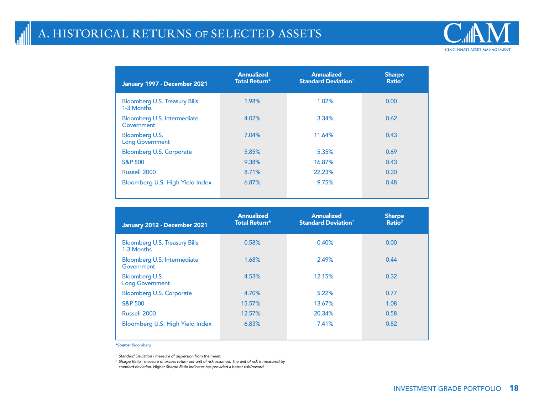## **A. HISTORICAL RETURNS OF SELECTED ASSETS**



Bloomberg U.S. Treasury Bills: 1-3 Months Bloomberg U.S. Intermediate **Government** Bloomberg U.S. Long Government Bloomberg U.S. Corporate S&P 500 Russell 2000 Bloomberg U.S. High Yield Index 1.98% 4.02% 7.04% 5.85% 9.38% 8.71% 6.87% 1.02% 3.34% 11.64% 5.35% 16.87% 22.23% 9.75% 0.00 0.62 0.43 0.69 0.43 0.30 0.48 January 1997 - December 2021 Annualized Total Return\* Sharpe Ratio*<sup>2</sup>* Annualized Standard Deviation*<sup>1</sup>*

| January 2012 - December 2021                        | <b>Annualized</b><br><b>Total Return*</b> | <b>Annualized</b><br><b>Standard Deviation<sup>1</sup></b> | <b>Sharpe</b><br>Ratio <sup>2</sup> |
|-----------------------------------------------------|-------------------------------------------|------------------------------------------------------------|-------------------------------------|
| <b>Bloomberg U.S. Treasury Bills:</b><br>1-3 Months | 0.58%                                     | 0.40%                                                      | 0.00                                |
| Bloomberg U.S. Intermediate<br>Government           | 1.68%                                     | 2.49%                                                      | 0.44                                |
| Bloomberg U.S.<br><b>Long Government</b>            | 4.53%                                     | 12.15%                                                     | 0.32                                |
| <b>Bloomberg U.S. Corporate</b>                     | 4.70%                                     | 5.22%                                                      | 0.77                                |
| <b>S&amp;P 500</b>                                  | 15.57%                                    | 13.67%                                                     | 1.08                                |
| Russell 2000                                        | 12.57%                                    | 20.34%                                                     | 0.58                                |
| Bloomberg U.S. High Yield Index                     | 6.83%                                     | 7.41%                                                      | 0.82                                |

*\*Source: Bloomberg*

*<sup>1</sup> Standard Deviation - measure of dispersion from the mean.* 

*<sup>2</sup> Sharpe Ratio - measure of excess return per unit of risk assumed. The unit of risk is measured by standard deviation. Higher Sharpe Ratio indicates has provided a better risk/reward.*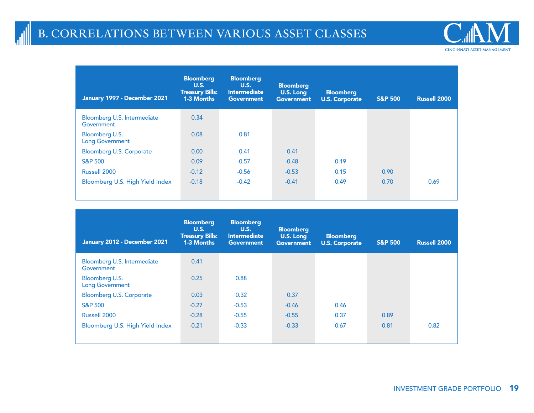

Bloomberg U.S. Intermediate **Government** Bloomberg U.S. Long Government Bloomberg U.S. Corporate S&P 500 Russell 2000 Bloomberg U.S. High Yield Index 0.34 0.08 0.00 -0.09 -0.12 -0.18 0.81 0.41 -0.57 -0.56 -0.42 0.41 -0.48 -0.53 -0.41 0.19 0.15 0.49 0.90 0.70 0.69 January 1997 - December 2021 Bloomberg U.S. Treasury Bills: 1-3 Months **Bloomberg** U.S. Long **Government** S&P 500 Russell 2000 Bloomberg U.S. Intermediate **Government** Bloomberg U.S. Corporate

| January 2012 - December 2021              | <b>Bloomberg</b><br><b>U.S.</b><br><b>Treasury Bills:</b><br>1-3 Months | <b>Bloomberg</b><br><b>U.S.</b><br><b>Intermediate</b><br><b>Government</b> | <b>Bloomberg</b><br>U.S. Long<br><b>Government</b> | <b>Bloomberg</b><br><b>U.S. Corporate</b> | <b>S&amp;P 500</b> | <b>Russell 2000</b> |
|-------------------------------------------|-------------------------------------------------------------------------|-----------------------------------------------------------------------------|----------------------------------------------------|-------------------------------------------|--------------------|---------------------|
| Bloomberg U.S. Intermediate<br>Government | 0.41                                                                    |                                                                             |                                                    |                                           |                    |                     |
| Bloomberg U.S.<br><b>Long Government</b>  | 0.25                                                                    | 0.88                                                                        |                                                    |                                           |                    |                     |
| <b>Bloomberg U.S. Corporate</b>           | 0.03                                                                    | 0.32                                                                        | 0.37                                               |                                           |                    |                     |
| <b>S&amp;P 500</b>                        | $-0.27$                                                                 | $-0.53$                                                                     | $-0.46$                                            | 0.46                                      |                    |                     |
| Russell 2000                              | $-0.28$                                                                 | $-0.55$                                                                     | $-0.55$                                            | 0.37                                      | 0.89               |                     |
| Bloomberg U.S. High Yield Index           | $-0.21$                                                                 | $-0.33$                                                                     | $-0.33$                                            | 0.67                                      | 0.81               | 0.82                |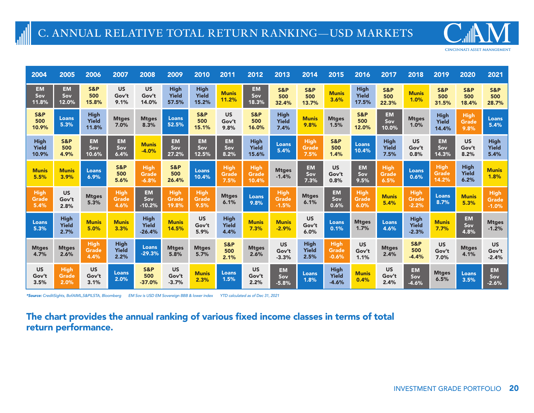**CINCINNATI ASSET MANAGEMENT** 

| 2004                           | 2005                         | 2006                                 | 2007                                | 2008                                   | 2009                                 | 2010                                 | 2011                                | 2012                                 | 2013                            | 2014                                | 2015                            | 2016                                 | 2017                                | 2018                             | 2019                          | 2020                                | 2021                                |
|--------------------------------|------------------------------|--------------------------------------|-------------------------------------|----------------------------------------|--------------------------------------|--------------------------------------|-------------------------------------|--------------------------------------|---------------------------------|-------------------------------------|---------------------------------|--------------------------------------|-------------------------------------|----------------------------------|-------------------------------|-------------------------------------|-------------------------------------|
| <b>EM</b><br>Sov<br>11.8%      | <b>EM</b><br>Sov<br>12.0%    | S&P<br>500<br>15.8%                  | <b>US</b><br>Gov't<br>9.1%          | <b>US</b><br>Gov't<br>14.0%            | <b>High</b><br><b>Yield</b><br>57.5% | <b>High</b><br><b>Yield</b><br>15.2% | <b>Munis</b><br>11.2%               | <b>EM</b><br>Sov<br>18.3%            | <b>S&amp;P</b><br>500<br>32.4%  | <b>S&amp;P</b><br>500<br>13.7%      | <b>Munis</b><br>3.6%            | <b>High</b><br><b>Yield</b><br>17.5% | <b>S&amp;P</b><br>500<br>22.3%      | <b>Munis</b><br>1.0%             | S&P<br>500<br>31.5%           | S&P<br>500<br>18.4%                 | S&P<br>500<br>28.7%                 |
| <b>S&amp;P</b><br>500<br>10.9% | Loans<br>5.3%                | <b>High</b><br><b>Yield</b><br>11.8% | <b>Mtges</b><br>7.0%                | <b>Mtges</b><br>8.3%                   | Loans<br>52.5%                       | <b>S&amp;P</b><br>500<br>15.1%       | <b>US</b><br>Gov't<br>9.8%          | <b>S&amp;P</b><br>500<br>16.0%       | <b>High</b><br>Yield<br>7.4%    | <b>Munis</b><br>9.8%                | <b>Mtges</b><br>1.5%            | <b>S&amp;P</b><br>500<br>12.0%       | <b>EM</b><br>Sov<br>10.0%           | <b>Mtges</b><br>1.0%             | <b>High</b><br>Yield<br>14.4% | <b>High</b><br><b>Grade</b><br>9.8% | <b>Loans</b><br>5.4%                |
| <b>High</b><br>Yield<br>10.9%  | S&P<br>500<br>4.9%           | <b>EM</b><br>Sov<br>10.6%            | <b>EM</b><br>Sov<br>6.4%            | <b>Munis</b><br>$-4.0%$                | <b>EM</b><br>Sov<br>27.2%            | <b>EM</b><br>Sov<br>12.5%            | <b>EM</b><br>Sov<br>8.2%            | <b>High</b><br><b>Yield</b><br>15.6% | Loans<br>5.4%                   | <b>High</b><br><b>Grade</b><br>7.5% | <b>S&amp;P</b><br>500<br>1.4%   | <b>Loans</b><br>10.4%                | <b>High</b><br><b>Yield</b><br>7.5% | <b>US</b><br>Gov't<br>0.8%       | <b>EM</b><br>Sov<br>14.3%     | <b>US</b><br>Gov't<br>8.2%          | <b>High</b><br><b>Yield</b><br>5.4% |
| <b>Munis</b><br>5.5%           | <b>Munis</b><br>3.9%         | Loans<br>6.9%                        | <b>S&amp;P</b><br>500<br>5.6%       | <b>High</b><br><b>Grade</b><br>$-6.8%$ | <b>S&amp;P</b><br>500<br>26.4%       | Loans<br>10.4%                       | <b>High</b><br><b>Grade</b><br>7.5% | <b>High</b><br><b>Grade</b><br>10.4% | <b>Mtges</b><br>$-1.4%$         | <b>EM</b><br>Sov<br>7.3%            | <b>US</b><br>Gov't<br>0.8%      | <b>EM</b><br>Sov<br>9.5%             | <b>High</b><br><b>Grade</b><br>6.5% | <b>Loans</b><br>0.6%             | <b>High</b><br>Grade<br>14.2% | <b>High</b><br>Yield<br>6.2%        | <b>Munis</b><br>1.8%                |
| <b>High</b><br>Grade<br>5.4%   | <b>US</b><br>Gov't<br>2.8%   | <b>Mtges</b><br>5.3%                 | <b>High</b><br><b>Grade</b><br>4.6% | <b>EM</b><br>Sov<br>$-10.2%$           | <b>High</b><br><b>Grade</b><br>19.8% | <b>High</b><br><b>Grade</b><br>9.5%  | <b>Mtges</b><br>6.1%                | <b>Loans</b><br>9.8%                 | High<br><b>Grade</b><br>$-1.5%$ | <b>Mtges</b><br>6.1%                | <b>EM</b><br>Sov<br>0.6%        | <b>High</b><br><b>Grade</b><br>6.0%  | <b>Munis</b><br>5.4%                | <b>High</b><br>Grade<br>$-2.2%$  | Loans<br>8.7%                 | <b>Munis</b><br>5.3%                | <b>High</b><br>Grade<br>$-1.0%$     |
| Loans<br>5.3%                  | <b>High</b><br>Yield<br>2.7% | <b>Munis</b><br>5.0%                 | <b>Munis</b><br>3.3%                | <b>High</b><br>Yield<br>$-26.4%$       | <b>Munis</b><br>14.5%                | <b>US</b><br>Gov't<br>5.9%           | <b>High</b><br>Yield<br>4.4%        | <b>Munis</b><br>7.3%                 | <b>Munis</b><br>$-2.9%$         | <b>US</b><br>Gov't<br>6.0%          | <b>Loans</b><br>0.1%            | <b>Mtges</b><br>1.7%                 | <b>Loans</b><br>4.6%                | <b>High</b><br>Yield<br>$-2.3%$  | <b>Munis</b><br>7.7%          | <b>EM</b><br>Sov<br>4.8%            | <b>Mtges</b><br>$-1.2%$             |
| <b>Mtges</b><br>4.7%           | <b>Mtges</b><br>2.6%         | <b>High</b><br>Grade<br>4.4%         | <b>High</b><br><b>Yield</b><br>2.2% | Loans<br>$-29.3%$                      | <b>Mtges</b><br>5.8%                 | <b>Mtges</b><br>5.7%                 | <b>S&amp;P</b><br>500<br>2.1%       | <b>Mtges</b><br>2.6%                 | <b>US</b><br>Gov't<br>$-3.3%$   | <b>High</b><br><b>Yield</b><br>2.5% | <b>High</b><br>Grade<br>$-0.6%$ | <b>US</b><br>Gov't<br>1.1%           | <b>Mtges</b><br>2.4%                | <b>S&amp;P</b><br>500<br>$-4.4%$ | <b>US</b><br>Gov't<br>7.0%    | <b>Mtges</b><br>4.1%                | <b>US</b><br>Gov't<br>$-2.4%$       |
| <b>US</b><br>Gov't<br>3.5%     | <b>High</b><br>Grade<br>2.0% | <b>US</b><br>Gov't<br>3.1%           | <b>Loans</b><br>2.0%                | S&P<br>500<br>$-37.0%$                 | <b>US</b><br>Gov't<br>$-3.7%$        | <b>Munis</b><br>2.3%                 | Loans<br>1.5%                       | <b>US</b><br>Gov't<br>2.2%           | <b>EM</b><br>Sov<br>$-5.8%$     | <b>Loans</b><br>1.8%                | <b>High</b><br>Yield<br>$-4.6%$ | <b>Munis</b><br>0.4%                 | <b>US</b><br>Gov't<br>2.4%          | <b>EM</b><br>Sov<br>$-4.6%$      | <b>Mtges</b><br>6.5%          | <b>Loans</b><br>3.5%                | <b>EM</b><br>Sov<br>$-2.6%$         |

*\*Source: CreditSights, BofAIML,S&PILSTA, Bloomberg EM Sov is USD EM Sovereign BBB & lower index YTD calculated as of Dec 31, 2021*

## The chart provides the annual ranking of various fixed income classes in terms of total return performance.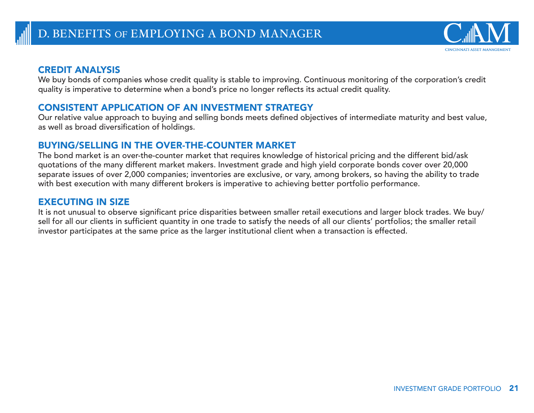

## CREDIT ANALYSIS

We buy bonds of companies whose credit quality is stable to improving. Continuous monitoring of the corporation's credit quality is imperative to determine when a bond's price no longer reflects its actual credit quality.

## CONSISTENT APPLICATION OF AN INVESTMENT STRATEGY

Our relative value approach to buying and selling bonds meets defined objectives of intermediate maturity and best value, as well as broad diversification of holdings.

## BUYING/SELLING IN THE OVER-THE-COUNTER MARKET

The bond market is an over-the-counter market that requires knowledge of historical pricing and the different bid/ask quotations of the many different market makers. Investment grade and high yield corporate bonds cover over 20,000 separate issues of over 2,000 companies; inventories are exclusive, or vary, among brokers, so having the ability to trade with best execution with many different brokers is imperative to achieving better portfolio performance.

## EXECUTING IN SIZE

It is not unusual to observe significant price disparities between smaller retail executions and larger block trades. We buy/ sell for all our clients in sufficient quantity in one trade to satisfy the needs of all our clients' portfolios; the smaller retail investor participates at the same price as the larger institutional client when a transaction is effected.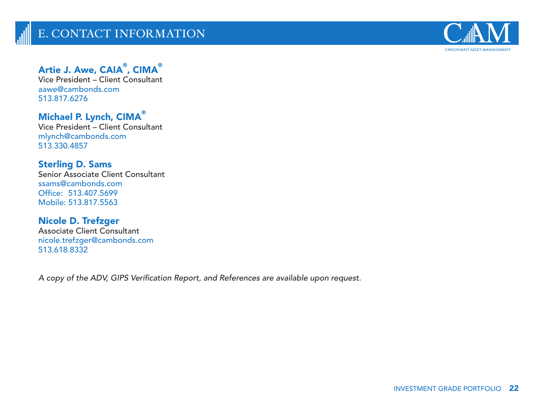

## Artie J. Awe,  $\mathsf{CAIA}^\circ$ ,  $\mathsf{CIMA}^\circ$

Vice President – Client Consultant aawe@cambonds.com 513.817.6276

## Michael P. Lynch, CIMA®

Vice President – Client Consultant mlynch@cambonds.com 513.330.4857

## Sterling D. Sams

Senior Associate Client Consultant ssams@cambonds.com Office: 513.407.5699 Mobile: 513.817.5563

## Nicole D. Trefzger

Associate Client Consultant nicole.trefzger@cambonds.com 513.618.8332

*A copy of the ADV, GIPS Verification Report, and References are available upon request.*